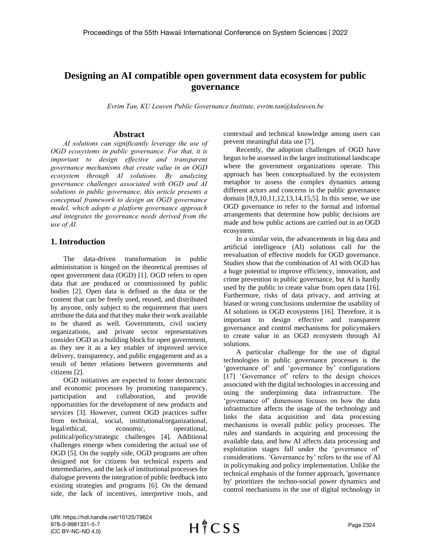# **Designing an AI compatible open government data ecosystem for public governance**

*Evrim Tan, KU Leuven Public Governance Institute, evrim.tan@kuleuven.be*

# **Abstract**

*AI solutions can significantly leverage the use of OGD ecosystems in public governance. For that, it is important to design effective and transparent governance mechanisms that create value in an OGD ecosystem through AI solutions. By analyzing governance challenges associated with OGD and AI solutions in public governance, this article presents a conceptual framework to design an OGD governance model, which adopts a platform governance approach and integrates the governance needs derived from the use of AI.* 

# **1. Introduction**

The data-driven transformation in public administration is hinged on the theoretical premises of open government data (OGD) [1]. OGD refers to open data that are produced or commissioned by public bodies [2]. Open data is defined as the data or the content that can be freely used, reused, and distributed by anyone, only subject to the requirement that users attribute the data and that they make their work available to be shared as well. Governments, civil society organizations, and private sector representatives consider OGD as a building block for open government, as they see it as a key enabler of improved service delivery, transparency, and public engagement and as a result of better relations between governments and citizens [2].

OGD initiatives are expected to foster democratic and economic processes by promoting transparency, participation and collaboration, and provide opportunities for the development of new products and services [3]. However, current OGD practices suffer from technical, social, institutional/organizational, legal/ethical, economic, operational, political/policy/strategic challenges [4]. Additional challenges emerge when considering the actual use of OGD [5]. On the supply side, OGD programs are often designed not for citizens but technical experts and intermediaries, and the lack of institutional processes for dialogue prevents the integration of public feedback into existing strategies and programs [6]. On the demand side, the lack of incentives, interpretive tools, and

contextual and technical knowledge among users can prevent meaningful data use [7].

Recently, the adoption challenges of OGD have begun to be assessed in the larger institutional landscape where the government organizations operate. This approach has been conceptualized by the ecosystem metaphor to assess the complex dynamics among different actors and concerns in the public governance domain [8,9,10,11,12,13,14,15,5]. In this sense, we use OGD governance to refer to the formal and informal arrangements that determine how public decisions are made and how public actions are carried out in an OGD ecosystem.

In a similar vein, the advancements in big data and artificial intelligence (AI) solutions call for the reevaluation of effective models for OGD governance. Studies show that the combination of AI with OGD has a huge potential to improve efficiency, innovation, and crime prevention in public governance, but AI is hardly used by the public to create value from open data [16]. Furthermore, risks of data privacy, and arriving at biased or wrong conclusions undermine the usability of AI solutions in OGD ecosystems [16]. Therefore, it is important to design effective and transparent governance and control mechanisms for policymakers to create value in an OGD ecosystem through AI solutions.

A particular challenge for the use of digital technologies in public governance processes is the 'governance of' and 'governance by' configurations [17] 'Governance of' refers to the design choices associated with the digital technologies in accessing and using the underpinning data infrastructure. The 'governance of' dimension focuses on how the data infrastructure affects the usage of the technology and links the data acquisition and data processing mechanisms in overall public policy processes. The rules and standards in acquiring and processing the available data, and how AI affects data processing and exploitation stages fall under the 'governance of' considerations. 'Governance by' refers to the use of AI in policymaking and policy implementation. Unlike the technical emphasis of the former approach, 'governance by' prioritizes the techno-social power dynamics and control mechanisms in the use of digital technology in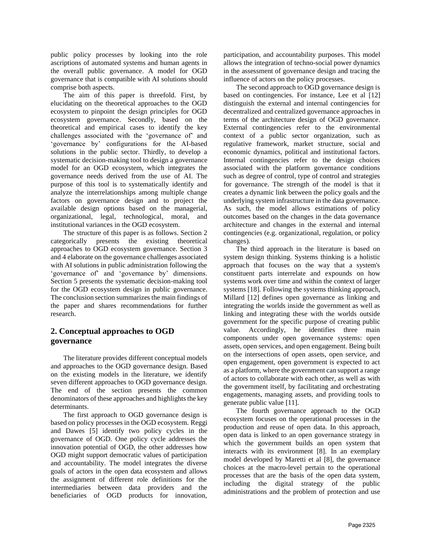public policy processes by looking into the role ascriptions of automated systems and human agents in the overall public governance. A model for OGD governance that is compatible with AI solutions should comprise both aspects.

The aim of this paper is threefold. First, by elucidating on the theoretical approaches to the OGD ecosystem to pinpoint the design principles for OGD ecosystem governance. Secondly, based on the theoretical and empirical cases to identify the key challenges associated with the 'governance of' and 'governance by' configurations for the AI-based solutions in the public sector. Thirdly, to develop a systematic decision-making tool to design a governance model for an OGD ecosystem, which integrates the governance needs derived from the use of AI. The purpose of this tool is to systematically identify and analyze the interrelationships among multiple change factors on governance design and to project the available design options based on the managerial, organizational, legal, technological, moral, and institutional variances in the OGD ecosystem.

The structure of this paper is as follows. Section 2 categorically presents the existing theoretical approaches to OGD ecosystem governance. Section 3 and 4 elaborate on the governance challenges associated with AI solutions in public administration following the 'governance of' and 'governance by' dimensions. Section 5 presents the systematic decision-making tool for the OGD ecosystem design in public governance. The conclusion section summarizes the main findings of the paper and shares recommendations for further research.

# **2. Conceptual approaches to OGD governance**

The literature provides different conceptual models and approaches to the OGD governance design. Based on the existing models in the literature, we identify seven different approaches to OGD governance design. The end of the section presents the common denominators of these approaches and highlights the key determinants.

The first approach to OGD governance design is based on policy processes in the OGD ecosystem. Reggi and Dawes [5] identify two policy cycles in the governance of OGD. One policy cycle addresses the innovation potential of OGD, the other addresses how OGD might support democratic values of participation and accountability. The model integrates the diverse goals of actors in the open data ecosystem and allows the assignment of different role definitions for the intermediaries between data providers and the beneficiaries of OGD products for innovation,

participation, and accountability purposes. This model allows the integration of techno-social power dynamics in the assessment of governance design and tracing the influence of actors on the policy processes.

The second approach to OGD governance design is based on contingencies. For instance, Lee et al [12] distinguish the external and internal contingencies for decentralized and centralized governance approaches in terms of the architecture design of OGD governance. External contingencies refer to the environmental context of a public sector organization, such as regulative framework, market structure, social and economic dynamics, political and institutional factors. Internal contingencies refer to the design choices associated with the platform governance conditions such as degree of control, type of control and strategies for governance. The strength of the model is that it creates a dynamic link between the policy goals and the underlying system infrastructure in the data governance. As such, the model allows estimations of policy outcomes based on the changes in the data governance architecture and changes in the external and internal contingencies (e.g. organizational, regulation, or policy changes).

The third approach in the literature is based on system design thinking. Systems thinking is a holistic approach that focuses on the way that a system's constituent parts interrelate and expounds on how systems work over time and within the context of larger systems [18]. Following the systems thinking approach, Millard [12] defines open governance as linking and integrating the worlds inside the government as well as linking and integrating these with the worlds outside government for the specific purpose of creating public value. Accordingly, he identifies three main components under open governance systems: open assets, open services, and open engagement. Being built on the intersections of open assets, open service, and open engagement, open government is expected to act as a platform, where the government can support a range of actors to collaborate with each other, as well as with the government itself, by facilitating and orchestrating engagements, managing assets, and providing tools to generate public value [11].

The fourth governance approach to the OGD ecosystem focuses on the operational processes in the production and reuse of open data. In this approach, open data is linked to an open governance strategy in which the government builds an open system that interacts with its environment [8]. In an exemplary model developed by Maretti et al [8], the governance choices at the macro-level pertain to the operational processes that are the basis of the open data system, including the digital strategy of the public administrations and the problem of protection and use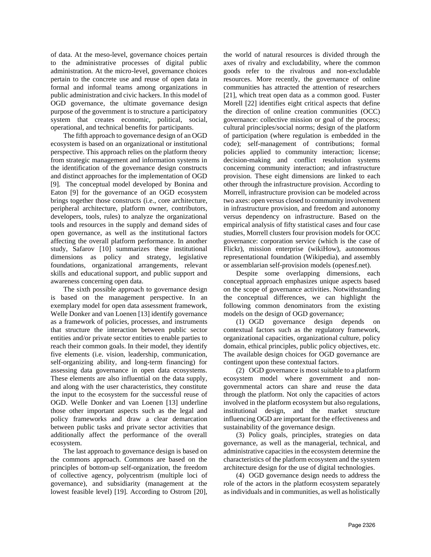of data. At the meso-level, governance choices pertain to the administrative processes of digital public administration. At the micro-level, governance choices pertain to the concrete use and reuse of open data in formal and informal teams among organizations in public administration and civic hackers. In this model of OGD governance, the ultimate governance design purpose of the government is to structure a participatory system that creates economic, political, social, operational, and technical benefits for participants.

The fifth approach to governance design of an OGD ecosystem is based on an organizational or institutional perspective. This approach relies on the platform theory from strategic management and information systems in the identification of the governance design constructs and distinct approaches for the implementation of OGD [9]. The conceptual model developed by Bonina and Eaton [9] for the governance of an OGD ecosystem brings together those constructs (i.e., core architecture, peripheral architecture, platform owner, contributors, developers, tools, rules) to analyze the organizational tools and resources in the supply and demand sides of open governance, as well as the institutional factors affecting the overall platform performance. In another study, Safarov [10] summarizes these institutional dimensions as policy and strategy, legislative foundations, organizational arrangements, relevant skills and educational support, and public support and awareness concerning open data.

The sixth possible approach to governance design is based on the management perspective. In an exemplary model for open data assessment framework, Welle Donker and van Loenen [13] identify governance as a framework of policies, processes, and instruments that structure the interaction between public sector entities and/or private sector entities to enable parties to reach their common goals. In their model, they identify five elements (i.e. vision, leadership, communication, self-organizing ability, and long-term financing) for assessing data governance in open data ecosystems. These elements are also influential on the data supply, and along with the user characteristics, they constitute the input to the ecosystem for the successful reuse of OGD. Welle Donker and van Loenen [13] underline those other important aspects such as the legal and policy frameworks and draw a clear demarcation between public tasks and private sector activities that additionally affect the performance of the overall ecosystem.

The last approach to governance design is based on the commons approach. Commons are based on the principles of bottom-up self-organization, the freedom of collective agency, polycentrism (multiple loci of governance), and subsidiarity (management at the lowest feasible level) [19]. According to Ostrom [20],

the world of natural resources is divided through the axes of rivalry and excludability, where the common goods refer to the rivalrous and non-excludable resources. More recently, the governance of online communities has attracted the attention of researchers [21], which treat open data as a common good. Fuster Morell [22] identifies eight critical aspects that define the direction of online creation communities (OCC) governance: collective mission or goal of the process; cultural principles/social norms; design of the platform of participation (where regulation is embedded in the code); self-management of contributions; formal policies applied to community interaction; license; decision-making and conflict resolution systems concerning community interaction; and infrastructure provision. These eight dimensions are linked to each other through the infrastructure provision. According to Morrell, infrastructure provision can be modeled across two axes: open versus closed to community involvement in infrastructure provision, and freedom and autonomy versus dependency on infrastructure. Based on the empirical analysis of fifty statistical cases and four case studies, Morrell clusters four provision models for OCC governance: corporation service (which is the case of Flickr), mission enterprise (wikiHow), autonomous representational foundation (Wikipedia), and assembly or assemblarian self-provision models (openesf.net).

Despite some overlapping dimensions, each conceptual approach emphasizes unique aspects based on the scope of governance activities. Notwithstanding the conceptual differences, we can highlight the following common denominators from the existing models on the design of OGD governance;

(1) OGD governance design depends on contextual factors such as the regulatory framework, organizational capacities, organizational culture, policy domain, ethical principles, public policy objectives, etc. The available design choices for OGD governance are contingent upon these contextual factors.

(2) OGD governance is most suitable to a platform ecosystem model where government and nongovernmental actors can share and reuse the data through the platform. Not only the capacities of actors involved in the platform ecosystem but also regulations, institutional design, and the market structure influencing OGD are important for the effectiveness and sustainability of the governance design.

(3) Policy goals, principles, strategies on data governance, as well as the managerial, technical, and administrative capacities in the ecosystem determine the characteristics of the platform ecosystem and the system architecture design for the use of digital technologies.

(4) OGD governance design needs to address the role of the actors in the platform ecosystem separately as individuals and in communities, as well as holistically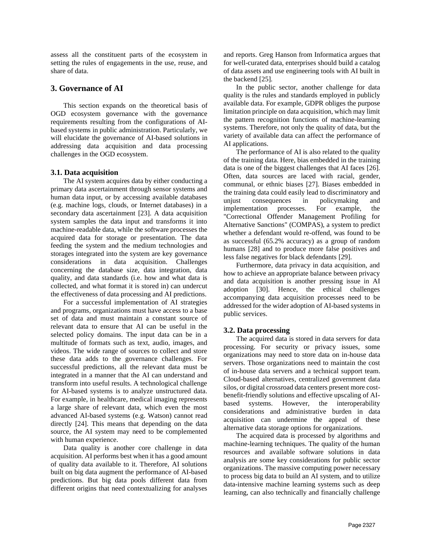assess all the constituent parts of the ecosystem in setting the rules of engagements in the use, reuse, and share of data.

# **3. Governance of AI**

This section expands on the theoretical basis of OGD ecosystem governance with the governance requirements resulting from the configurations of AIbased systems in public administration. Particularly, we will elucidate the governance of AI-based solutions in addressing data acquisition and data processing challenges in the OGD ecosystem.

# **3.1. Data acquisition**

The AI system acquires data by either conducting a primary data ascertainment through sensor systems and human data input, or by accessing available databases (e.g. machine logs, clouds, or Internet databases) in a secondary data ascertainment [23]. A data acquisition system samples the data input and transforms it into machine-readable data, while the software processes the acquired data for storage or presentation. The data feeding the system and the medium technologies and storages integrated into the system are key governance considerations in data acquisition. Challenges concerning the database size, data integration, data quality, and data standards (i.e. how and what data is collected, and what format it is stored in) can undercut the effectiveness of data processing and AI predictions.

For a successful implementation of AI strategies and programs, organizations must have access to a base set of data and must maintain a constant source of relevant data to ensure that AI can be useful in the selected policy domains. The input data can be in a multitude of formats such as text, audio, images, and videos. The wide range of sources to collect and store these data adds to the governance challenges. For successful predictions, all the relevant data must be integrated in a manner that the AI can understand and transform into useful results. A technological challenge for AI-based systems is to analyze unstructured data. For example, in healthcare, medical imaging represents a large share of relevant data, which even the most advanced AI-based systems (e.g. Watson) cannot read directly [24]. This means that depending on the data source, the AI system may need to be complemented with human experience.

Data quality is another core challenge in data acquisition. AI performs best when it has a good amount of quality data available to it. Therefore, AI solutions built on big data augment the performance of AI-based predictions. But big data pools different data from different origins that need contextualizing for analyses

and reports. Greg Hanson from Informatica argues that for well-curated data, enterprises should build a catalog of data assets and use engineering tools with AI built in the backend [25].

In the public sector, another challenge for data quality is the rules and standards employed in publicly available data. For example, GDPR obliges the purpose limitation principle on data acquisition, which may limit the pattern recognition functions of machine-learning systems. Therefore, not only the quality of data, but the variety of available data can affect the performance of AI applications.

The performance of AI is also related to the quality of the training data. Here, bias embedded in the training data is one of the biggest challenges that AI faces [26]. Often, data sources are laced with racial, gender, communal, or ethnic biases [27]. Biases embedded in the training data could easily lead to discriminatory and unjust consequences in policymaking and implementation processes. For example, the "Correctional Offender Management Profiling for Alternative Sanctions" (COMPAS), a system to predict whether a defendant would re-offend, was found to be as successful (65.2% accuracy) as a group of random humans [28] and to produce more false positives and less false negatives for black defendants [29].

Furthermore, data privacy in data acquisition, and how to achieve an appropriate balance between privacy and data acquisition is another pressing issue in AI adoption [30]. Hence, the ethical challenges accompanying data acquisition processes need to be addressed for the wider adoption of AI-based systems in public services.

# **3.2. Data processing**

The acquired data is stored in data servers for data processing. For security or privacy issues, some organizations may need to store data on in-house data servers. Those organizations need to maintain the cost of in-house data servers and a technical support team. Cloud-based alternatives, centralized government data silos, or digital crossroad data centers present more costbenefit-friendly solutions and effective upscaling of AIbased systems. However, the interoperability considerations and administrative burden in data acquisition can undermine the appeal of these alternative data storage options for organizations.

The acquired data is processed by algorithms and machine-learning techniques. The quality of the human resources and available software solutions in data analysis are some key considerations for public sector organizations. The massive computing power necessary to process big data to build an AI system, and to utilize data-intensive machine learning systems such as deep learning, can also technically and financially challenge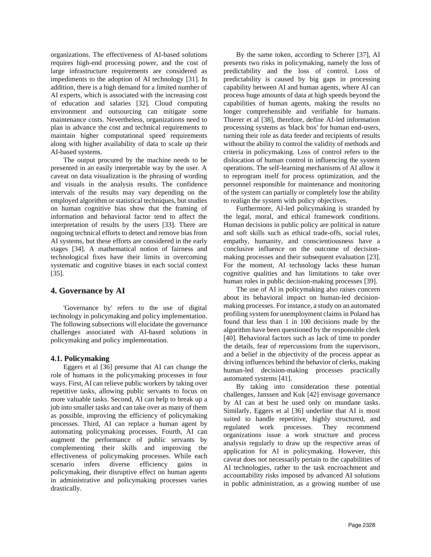organizations. The effectiveness of AI-based solutions requires high-end processing power, and the cost of large infrastructure requirements are considered as impediments to the adoption of AI technology [31]. In addition, there is a high demand for a limited number of AI experts, which is associated with the increasing cost of education and salaries [32]. Cloud computing environment and outsourcing can mitigate some maintenance costs. Nevertheless, organizations need to plan in advance the cost and technical requirements to maintain higher computational speed requirements along with higher availability of data to scale up their AI-based systems.

The output procured by the machine needs to be presented in an easily interpretable way by the user. A caveat on data visualization is the phrasing of wording and visuals in the analysis results. The confidence intervals of the results may vary depending on the employed algorithm or statistical techniques, but studies on human cognitive bias show that the framing of information and behavioral factor tend to affect the interpretation of results by the users [33]. There are ongoing technical efforts to detect and remove bias from AI systems, but these efforts are considered in the early stages [34]. A mathematical notion of fairness and technological fixes have their limits in overcoming systematic and cognitive biases in each social context [35].

# **4. Governance by AI**

'Governance by' refers to the use of digital technology in policymaking and policy implementation. The following subsections will elucidate the governance challenges associated with AI-based solutions in policymaking and policy implementation.

# **4.1. Policymaking**

Eggers et al [36] presume that AI can change the role of humans in the policymaking processes in four ways. First, AI can relieve public workers by taking over repetitive tasks, allowing public servants to focus on more valuable tasks. Second, AI can help to break up a job into smaller tasks and can take over as many of them as possible, improving the efficiency of policymaking processes. Third, AI can replace a human agent by automating policymaking processes. Fourth, AI can augment the performance of public servants by complementing their skills and improving the effectiveness of policymaking processes. While each scenario infers diverse efficiency gains in policymaking, their disruptive effect on human agents in administrative and policymaking processes varies drastically.

By the same token, according to Scherer [37], AI presents two risks in policymaking, namely the loss of predictability and the loss of control. Loss of predictability is caused by big gaps in processing capability between AI and human agents, where AI can process huge amounts of data at high speeds beyond the capabilities of human agents, making the results no longer comprehensible and verifiable for humans. Thierer et al [38], therefore, define AI-led information processing systems as 'black box' for human end-users, turning their role as data feeder and recipients of results without the ability to control the validity of methods and criteria in policymaking. Loss of control refers to the dislocation of human control in influencing the system operations. The self-learning mechanisms of AI allow it to reprogram itself for process optimization, and the personnel responsible for maintenance and monitoring of the system can partially or completely lose the ability to realign the system with policy objectives.

Furthermore, AI-led policymaking is stranded by the legal, moral, and ethical framework conditions. Human decisions in public policy are political in nature and soft skills such as ethical trade-offs, social rules, empathy, humanity, and conscientiousness have a conclusive influence on the outcome of decisionmaking processes and their subsequent evaluation [23]. For the moment, AI technology lacks these human cognitive qualities and has limitations to take over human roles in public decision-making processes [39].

The use of AI in policymaking also raises concern about its behavioral impact on human-led decisionmaking processes. For instance, a study on an automated profiling system for unemployment claims in Poland has found that less than 1 in 100 decisions made by the algorithm have been questioned by the responsible clerk [40]. Behavioral factors such as lack of time to ponder the details, fear of repercussions from the supervisors, and a belief in the objectivity of the process appear as driving influences behind the behavior of clerks, making human-led decision-making processes practically automated systems [41].

By taking into consideration these potential challenges, Janssen and Kuk [42] envisage governance by AI can at best be used only on mundane tasks. Similarly, Eggers et al [36] underline that AI is most suited to handle repetitive, highly structured, and regulated work processes. They recommend organizations issue a work structure and process analysis regularly to draw up the respective areas of application for AI in policymaking. However, this caveat does not necessarily pertain to the capabilities of AI technologies, rather to the task encroachment and accountability risks imposed by advanced AI solutions in public administration, as a growing number of use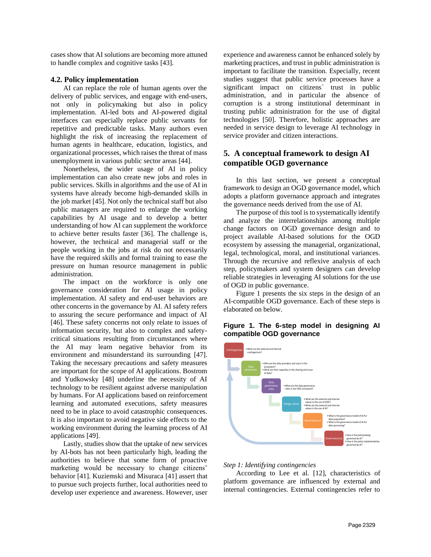cases show that AI solutions are becoming more attuned to handle complex and cognitive tasks [43].

### **4.2. Policy implementation**

AI can replace the role of human agents over the delivery of public services, and engage with end-users, not only in policymaking but also in policy implementation. AI-led bots and AI-powered digital interfaces can especially replace public servants for repetitive and predictable tasks. Many authors even highlight the risk of increasing the replacement of human agents in healthcare, education, logistics, and organizational processes, which raises the threat of mass unemployment in various public sector areas [44].

Nonetheless, the wider usage of AI in policy implementation can also create new jobs and roles in public services. Skills in algorithms and the use of AI in systems have already become high-demanded skills in the job market [45]. Not only the technical staff but also public managers are required to enlarge the working capabilities by AI usage and to develop a better understanding of how AI can supplement the workforce to achieve better results faster [36]. The challenge is, however, the technical and managerial staff or the people working in the jobs at risk do not necessarily have the required skills and formal training to ease the pressure on human resource management in public administration.

The impact on the workforce is only one governance consideration for AI usage in policy implementation. AI safety and end-user behaviors are other concerns in the governance by AI. AI safety refers to assuring the secure performance and impact of AI [46]. These safety concerns not only relate to issues of information security, but also to complex and safetycritical situations resulting from circumstances where the AI may learn negative behavior from its environment and misunderstand its surrounding [47]. Taking the necessary precautions and safety measures are important for the scope of AI applications. Bostrom and Yudkowsky [48] underline the necessity of AI technology to be resilient against adverse manipulation by humans. For AI applications based on reinforcement learning and automated executions, safety measures need to be in place to avoid catastrophic consequences. It is also important to avoid negative side effects to the working environment during the learning process of AI applications [49].

Lastly, studies show that the uptake of new services by AI-bots has not been particularly high, leading the authorities to believe that some form of proactive marketing would be necessary to change citizens' behavior [41]. Kuziemski and Misuraca [41] assert that to pursue such projects further, local authorities need to develop user experience and awareness. However, user experience and awareness cannot be enhanced solely by marketing practices, and trust in public administration is important to facilitate the transition. Especially, recent studies suggest that public service processes have a significant impact on citizens´ trust in public administration, and in particular the absence of corruption is a strong institutional determinant in trusting public administration for the use of digital technologies [50]. Therefore, holistic approaches are needed in service design to leverage AI technology in service provider and citizen interactions.

# **5. A conceptual framework to design AI compatible OGD governance**

In this last section, we present a conceptual framework to design an OGD governance model, which adopts a platform governance approach and integrates the governance needs derived from the use of AI.

The purpose of this tool is to systematically identify and analyze the interrelationships among multiple change factors on OGD governance design and to project available AI-based solutions for the OGD ecosystem by assessing the managerial, organizational, legal, technological, moral, and institutional variances. Through the recursive and reflexive analysis of each step, policymakers and system designers can develop reliable strategies in leveraging AI solutions for the use of OGD in public governance.

Figure 1 presents the six steps in the design of an AI-compatible OGD governance. Each of these steps is elaborated on below.

# **Figure 1. The 6-step model in designing AI compatible OGD governance**



#### *Step 1: Identifying contingencies*

According to Lee et al. [12], characteristics of platform governance are influenced by external and internal contingencies. External contingencies refer to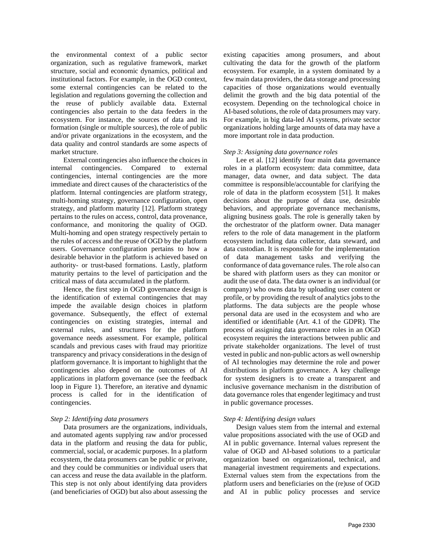the environmental context of a public sector organization, such as regulative framework, market structure, social and economic dynamics, political and institutional factors. For example, in the OGD context, some external contingencies can be related to the legislation and regulations governing the collection and the reuse of publicly available data. External contingencies also pertain to the data feeders in the ecosystem. For instance, the sources of data and its formation (single or multiple sources), the role of public and/or private organizations in the ecosystem, and the data quality and control standards are some aspects of market structure.

External contingencies also influence the choices in internal contingencies. Compared to external contingencies, internal contingencies are the more immediate and direct causes of the characteristics of the platform. Internal contingencies are platform strategy, multi-homing strategy, governance configuration, open strategy, and platform maturity [12]. Platform strategy pertains to the rules on access, control, data provenance, conformance, and monitoring the quality of OGD. Multi-homing and open strategy respectively pertain to the rules of access and the reuse of OGD by the platform users. Governance configuration pertains to how a desirable behavior in the platform is achieved based on authority- or trust-based formations. Lastly, platform maturity pertains to the level of participation and the critical mass of data accumulated in the platform.

Hence, the first step in OGD governance design is the identification of external contingencies that may impede the available design choices in platform governance. Subsequently, the effect of external contingencies on existing strategies, internal and external rules, and structures for the platform governance needs assessment. For example, political scandals and previous cases with fraud may prioritize transparency and privacy considerations in the design of platform governance. It is important to highlight that the contingencies also depend on the outcomes of AI applications in platform governance (see the feedback loop in Figure 1). Therefore, an iterative and dynamic process is called for in the identification of contingencies.

# *Step 2: Identifying data prosumers*

Data prosumers are the organizations, individuals, and automated agents supplying raw and/or processed data in the platform and reusing the data for public, commercial, social, or academic purposes. In a platform ecosystem, the data prosumers can be public or private, and they could be communities or individual users that can access and reuse the data available in the platform. This step is not only about identifying data providers (and beneficiaries of OGD) but also about assessing the

existing capacities among prosumers, and about cultivating the data for the growth of the platform ecosystem. For example, in a system dominated by a few main data providers, the data storage and processing capacities of those organizations would eventually delimit the growth and the big data potential of the ecosystem. Depending on the technological choice in AI-based solutions, the role of data prosumers may vary. For example, in big data-led AI systems, private sector organizations holding large amounts of data may have a more important role in data production.

#### *Step 3: Assigning data governance roles*

Lee et al. [12] identify four main data governance roles in a platform ecosystem: data committee, data manager, data owner, and data subject. The data committee is responsible/accountable for clarifying the role of data in the platform ecosystem [51]. It makes decisions about the purpose of data use, desirable behaviors, and appropriate governance mechanisms, aligning business goals. The role is generally taken by the orchestrator of the platform owner. Data manager refers to the role of data management in the platform ecosystem including data collector, data steward, and data custodian. It is responsible for the implementation of data management tasks and verifying the conformance of data governance rules. The role also can be shared with platform users as they can monitor or audit the use of data. The data owner is an individual (or company) who owns data by uploading user content or profile, or by providing the result of analytics jobs to the platforms. The data subjects are the people whose personal data are used in the ecosystem and who are identified or identifiable (Art. 4.1 of the GDPR). The process of assigning data governance roles in an OGD ecosystem requires the interactions between public and private stakeholder organizations. The level of trust vested in public and non-public actors as well ownership of AI technologies may determine the role and power distributions in platform governance. A key challenge for system designers is to create a transparent and inclusive governance mechanism in the distribution of data governance roles that engender legitimacy and trust in public governance processes.

#### *Step 4: Identifying design values*

Design values stem from the internal and external value propositions associated with the use of OGD and AI in public governance. Internal values represent the value of OGD and AI-based solutions to a particular organization based on organizational, technical, and managerial investment requirements and expectations. External values stem from the expectations from the platform users and beneficiaries on the (re)use of OGD and AI in public policy processes and service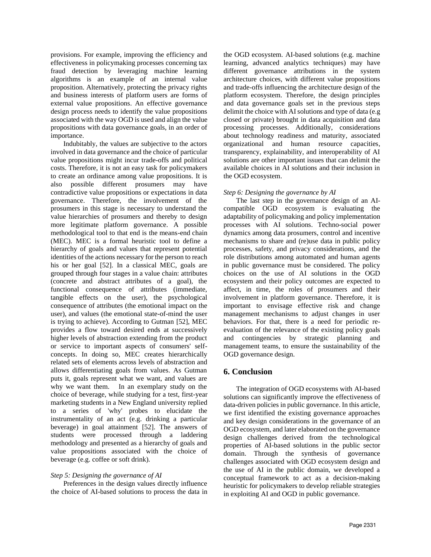provisions. For example, improving the efficiency and effectiveness in policymaking processes concerning tax fraud detection by leveraging machine learning algorithms is an example of an internal value proposition. Alternatively, protecting the privacy rights and business interests of platform users are forms of external value propositions. An effective governance design process needs to identify the value propositions associated with the way OGD is used and align the value propositions with data governance goals, in an order of importance.

Indubitably, the values are subjective to the actors involved in data governance and the choice of particular value propositions might incur trade-offs and political costs. Therefore, it is not an easy task for policymakers to create an ordinance among value propositions. It is also possible different prosumers may have contradictive value propositions or expectations in data governance. Therefore, the involvement of the prosumers in this stage is necessary to understand the value hierarchies of prosumers and thereby to design more legitimate platform governance. A possible methodological tool to that end is the means-end chain (MEC). MEC is a formal heuristic tool to define a hierarchy of goals and values that represent potential identities of the actions necessary for the person to reach his or her goal [52]. In a classical MEC, goals are grouped through four stages in a value chain: attributes (concrete and abstract attributes of a goal), the functional consequence of attributes (immediate, tangible effects on the user), the psychological consequence of attributes (the emotional impact on the user), and values (the emotional state-of-mind the user is trying to achieve). According to Gutman [52], MEC provides a flow toward desired ends at successively higher levels of abstraction extending from the product or service to important aspects of consumers' selfconcepts. In doing so, MEC creates hierarchically related sets of elements across levels of abstraction and allows differentiating goals from values. As Gutman puts it, goals represent what we want, and values are why we want them. In an exemplary study on the choice of beverage, while studying for a test, first-year marketing students in a New England university replied to a series of 'why' probes to elucidate the instrumentality of an act (e.g. drinking a particular beverage) in goal attainment [52]. The answers of students were processed through a laddering methodology and presented as a hierarchy of goals and value propositions associated with the choice of beverage (e.g. coffee or soft drink).

#### *Step 5: Designing the governance of AI*

Preferences in the design values directly influence the choice of AI-based solutions to process the data in

the OGD ecosystem. AI-based solutions (e.g. machine learning, advanced analytics techniques) may have different governance attributions in the system architecture choices, with different value propositions and trade-offs influencing the architecture design of the platform ecosystem. Therefore, the design principles and data governance goals set in the previous steps delimit the choice with AI solutions and type of data (e.g closed or private) brought in data acquisition and data processing processes. Additionally, considerations about technology readiness and maturity, associated organizational and human resource capacities, transparency, explainability, and interoperability of AI solutions are other important issues that can delimit the available choices in AI solutions and their inclusion in the OGD ecosystem.

### *Step 6: Designing the governance by AI*

The last step in the governance design of an AIcompatible OGD ecosystem is evaluating the adaptability of policymaking and policy implementation processes with AI solutions. Techno-social power dynamics among data prosumers, control and incentive mechanisms to share and (re)use data in public policy processes, safety, and privacy considerations, and the role distributions among automated and human agents in public governance must be considered. The policy choices on the use of AI solutions in the OGD ecosystem and their policy outcomes are expected to affect, in time, the roles of prosumers and their involvement in platform governance. Therefore, it is important to envisage effective risk and change management mechanisms to adjust changes in user behaviors. For that, there is a need for periodic reevaluation of the relevance of the existing policy goals and contingencies by strategic planning and management teams, to ensure the sustainability of the OGD governance design.

# **6. Conclusion**

The integration of OGD ecosystems with AI-based solutions can significantly improve the effectiveness of data-driven policies in public governance. In this article, we first identified the existing governance approaches and key design considerations in the governance of an OGD ecosystem, and later elaborated on the governance design challenges derived from the technological properties of AI-based solutions in the public sector domain. Through the synthesis of governance challenges associated with OGD ecosystem design and the use of AI in the public domain, we developed a conceptual framework to act as a decision-making heuristic for policymakers to develop reliable strategies in exploiting AI and OGD in public governance.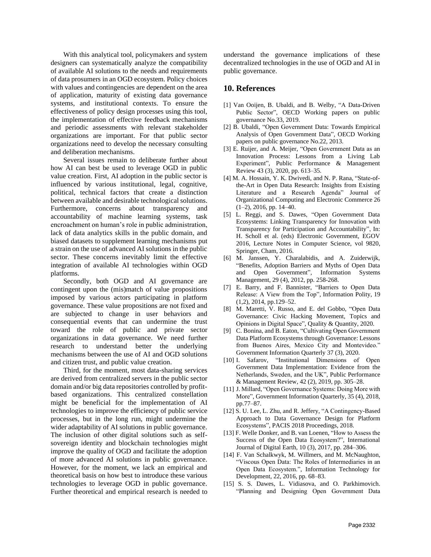With this analytical tool, policymakers and system designers can systematically analyze the compatibility of available AI solutions to the needs and requirements of data prosumers in an OGD ecosystem. Policy choices with values and contingencies are dependent on the area of application, maturity of existing data governance systems, and institutional contexts. To ensure the effectiveness of policy design processes using this tool, the implementation of effective feedback mechanisms and periodic assessments with relevant stakeholder organizations are important. For that public sector organizations need to develop the necessary consulting and deliberation mechanisms.

Several issues remain to deliberate further about how AI can best be used to leverage OGD in public value creation. First, AI adoption in the public sector is influenced by various institutional, legal, cognitive, political, technical factors that create a distinction between available and desirable technological solutions. Furthermore, concerns about transparency and accountability of machine learning systems, task encroachment on human's role in public administration, lack of data analytics skills in the public domain, and biased datasets to supplement learning mechanisms put a strain on the use of advanced AI solutions in the public sector. These concerns inevitably limit the effective integration of available AI technologies within OGD platforms.

Secondly, both OGD and AI governance are contingent upon the (mis)match of value propositions imposed by various actors participating in platform governance. These value propositions are not fixed and are subjected to change in user behaviors and consequential events that can undermine the trust toward the role of public and private sector organizations in data governance. We need further research to understand better the underlying mechanisms between the use of AI and OGD solutions and citizen trust, and public value creation.

Third, for the moment, most data-sharing services are derived from centralized servers in the public sector domain and/or big data repositories controlled by profitbased organizations. This centralized constellation might be beneficial for the implementation of AI technologies to improve the efficiency of public service processes, but in the long run, might undermine the wider adaptability of AI solutions in public governance. The inclusion of other digital solutions such as selfsovereign identity and blockchain technologies might improve the quality of OGD and facilitate the adoption of more advanced AI solutions in public governance. However, for the moment, we lack an empirical and theoretical basis on how best to introduce these various technologies to leverage OGD in public governance. Further theoretical and empirical research is needed to understand the governance implications of these decentralized technologies in the use of OGD and AI in public governance.

# **10. References**

- [1] Van Ooijen, B. Ubaldi, and B. Welby, "A Data-Driven Public Sector", OECD Working papers on public governance No.33, 2019.
- [2] B. Ubaldi, "Open Government Data: Towards Empirical Analysis of Open Government Data", OECD Working papers on public governance No.22, 2013.
- [3] E. Ruijer, and A. Meijer, "Open Government Data as an Innovation Process: Lessons from a Living Lab Experiment", Public Performance & Management Review 43 (3), 2020, pp. 613–35.
- [4] M. A. Hossain, Y. K. Dwivedi, and N. P. Rana, "State-ofthe-Art in Open Data Research: Insights from Existing Literature and a Research Agenda" Journal of Organizational Computing and Electronic Commerce 26  $(1-2)$ , 2016, pp. 14-40.
- [5] L. Reggi, and S. Dawes, "Open Government Data Ecosystems: Linking Transparency for Innovation with Transparency for Participation and Accountability", In: H. Scholl et al. (eds) Electronic Government, EGOV 2016, Lecture Notes in Computer Science, vol 9820, Springer, Cham, 2016.
- [6] M. Janssen, Y. Charalabidis, and A. Zuiderwijk, "Benefits, Adoption Barriers and Myths of Open Data and Open Government", Information Systems Management, 29 (4), 2012, pp. 258-268.
- [7] E. Barry, and F. Bannister, "Barriers to Open Data Release: A View from the Top", Information Polity, 19 (1,2), 2014, pp.129–52.
- [8] M. Maretti, V. Russo, and E. del Gobbo, "Open Data Governance: Civic Hacking Movement, Topics and Opinions in Digital Space", Quality & Quantity, 2020.
- [9] C. Bonina, and B. Eaton, "Cultivating Open Government Data Platform Ecosystems through Governance: Lessons from Buenos Aires, Mexico City and Montevideo." Government Information Quarterly 37 (3), 2020.
- [10] I. Safarov, "Institutional Dimensions of Open Government Data Implementation: Evidence from the Netherlands, Sweden, and the UK", Public Performance & Management Review, 42 (2), 2019, pp. 305–28.
- [11] J. Millard, "Open Governance Systems: Doing More with More", Government Information Quarterly, 35 (4), 2018, pp.77–87.
- [12] S. U. Lee, L. Zhu, and R. Jeffery, "A Contingency-Based Approach to Data Governance Design for Platform Ecosystems", PACIS 2018 Proceedings, 2018.
- [13] F. Welle Donker, and B. van Loenen, "How to Assess the Success of the Open Data Ecosystem?", International Journal of Digital Earth, 10 (3), 2017, pp. 284–306.
- [14] F. Van Schalkwyk, M. Willmers, and M. McNaughton, "Viscous Open Data: The Roles of Intermediaries in an Open Data Ecosystem.", Information Technology for Development, 22, 2016, pp. 68–83.
- [15] S. S. Dawes, L. Vidiasova, and O. Parkhimovich. "Planning and Designing Open Government Data